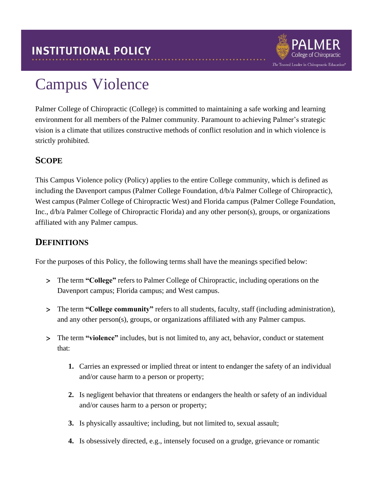

# Campus Violence

Palmer College of Chiropractic (College) is committed to maintaining a safe working and learning environment for all members of the Palmer community. Paramount to achieving Palmer's strategic vision is a climate that utilizes constructive methods of conflict resolution and in which violence is strictly prohibited.

## **SCOPE**

This Campus Violence policy (Policy) applies to the entire College community, which is defined as including the Davenport campus (Palmer College Foundation, d/b/a Palmer College of Chiropractic), West campus (Palmer College of Chiropractic West) and Florida campus (Palmer College Foundation, Inc., d/b/a Palmer College of Chiropractic Florida) and any other person(s), groups, or organizations affiliated with any Palmer campus.

### **DEFINITIONS**

For the purposes of this Policy, the following terms shall have the meanings specified below:

- The term **"College"** refers to Palmer College of Chiropractic, including operations on the Davenport campus; Florida campus; and West campus.
- The term **"College community"** refers to all students, faculty, staff (including administration), and any other person(s), groups, or organizations affiliated with any Palmer campus.
- The term **"violence"** includes, but is not limited to, any act, behavior, conduct or statement that:
	- **1.** Carries an expressed or implied threat or intent to endanger the safety of an individual and/or cause harm to a person or property;
	- **2.** Is negligent behavior that threatens or endangers the health or safety of an individual and/or causes harm to a person or property;
	- **3.** Is physically assaultive; including, but not limited to, sexual assault;
	- **4.** Is obsessively directed, e.g., intensely focused on a grudge, grievance or romantic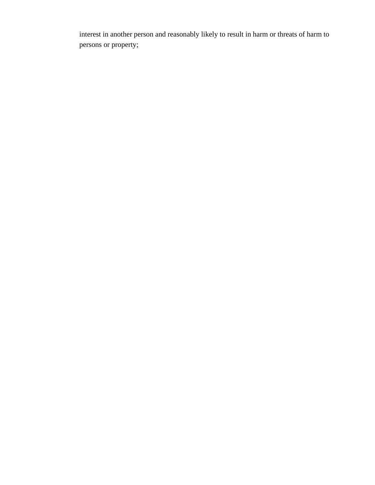interest in another person and reasonably likely to result in harm or threats of harm to persons or property;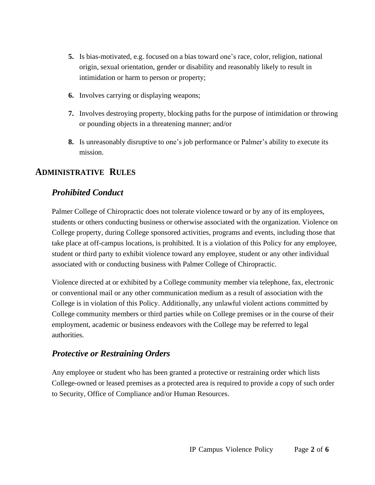- **5.** Is bias-motivated, e.g. focused on a bias toward one's race, color, religion, national origin, sexual orientation, gender or disability and reasonably likely to result in intimidation or harm to person or property;
- **6.** Involves carrying or displaying weapons;
- **7.** Involves destroying property, blocking paths for the purpose of intimidation or throwing or pounding objects in a threatening manner; and/or
- **8.** Is unreasonably disruptive to one's job performance or Palmer's ability to execute its mission.

#### **ADMINISTRATIVE RULES**

#### *Prohibited Conduct*

Palmer College of Chiropractic does not tolerate violence toward or by any of its employees, students or others conducting business or otherwise associated with the organization. Violence on College property, during College sponsored activities, programs and events, including those that take place at off-campus locations, is prohibited. It is a violation of this Policy for any employee, student or third party to exhibit violence toward any employee, student or any other individual associated with or conducting business with Palmer College of Chiropractic.

Violence directed at or exhibited by a College community member via telephone, fax, electronic or conventional mail or any other communication medium as a result of association with the College is in violation of this Policy. Additionally, any unlawful violent actions committed by College community members or third parties while on College premises or in the course of their employment, academic or business endeavors with the College may be referred to legal authorities.

#### *Protective or Restraining Orders*

Any employee or student who has been granted a protective or restraining order which lists College-owned or leased premises as a protected area is required to provide a copy of such order to Security, Office of Compliance and/or Human Resources.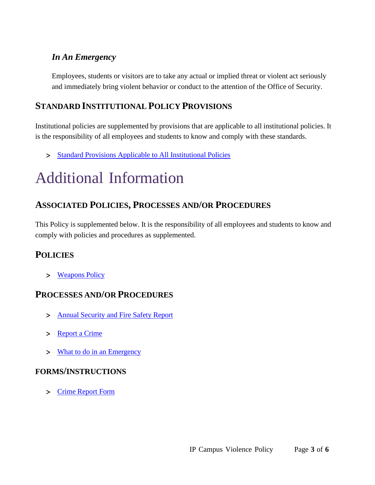### *In An Emergency*

Employees, students or visitors are to take any actual or implied threat or violent act seriously and immediately bring violent behavior or conduct to the attention of the Office of Security.

## **STANDARD INSTITUTIONAL POLICY PROVISIONS**

Institutional policies are supplemented by provisions that are applicable to all institutional policies. It is the responsibility of all employees and students to know and comply with these standards.

> Standard Provisions Applicable to All [Institutional](http://www.palmer.edu/uploadedFiles/Pages/Students/Resources_and_Offices/Handbook_and_Policies/_pdf/Standard-Provisions-Applicable-to-All-Institutional-Policies.pdf) Policies

# Additional Information

## **ASSOCIATED POLICIES, PROCESSES AND/OR PROCEDURES**

This Policy is supplemented below. It is the responsibility of all employees and students to know and comply with policies and procedures as supplemented.

## **POLICIES**

> [Weapons](http://www.palmer.edu/uploadedFiles/Pages/Students/Resources_and_Offices/Handbook_and_Policies/_pdf/IP-Weapons.pdf) Policy

#### **PROCESSES AND/OR PROCEDURES**

- > Annual [Security](https://www.palmer.edu/getmedia/1fc436ff-16a4-4560-b24d-03488bdae8ce/annual-security-and-fire-safety-report.pdf) and Fire Safety Report
- > [Report](http://www.palmer.edu/students/resources-offices/security/report-crime/) a Crime
- What to do [in an Emergency](http://www.palmer.edu/students/resources-offices/security/what-to-do-in-an-emergency/)

#### **FORMS/INSTRUCTIONS**

Crime [Report Form](https://cm.maxient.com/reportingform.php?PalmerCollege&layout_id=1)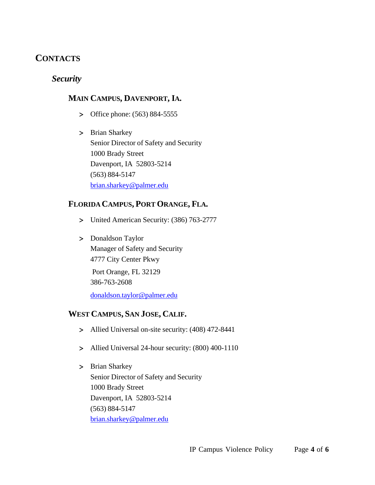## **CONTACTS**

#### *Security*

#### **MAIN CAMPUS, DAVENPORT, IA.**

- Office phone: (563) 884-5555
- > Brian Sharkey Senior Director of Safety and Security 1000 Brady Street Davenport, IA 52803-5214 (563) 884-5147 [brian.sharkey@palmer.edu](mailto:brian.sharkey@palmer.edu)

#### **FLORIDA CAMPUS, PORT ORANGE, FLA.**

- United American Security: (386) 763-2777
- > Donaldson Taylor Manager of Safety and Security 4777 City Center Pkwy Port Orange, FL 32129 386-763-2608 [donaldson.taylor@palmer.edu](mailto:donaldson.taylor@palmer.edu)

#### **WEST CAMPUS, SAN JOSE, CALIF.**

- Allied Universal on-site security: (408) 472-8441
- Allied Universal 24-hour security: (800) 400-1110
- > Brian Sharkey Senior Director of Safety and Security 1000 Brady Street Davenport, IA 52803-5214 (563) 884-5147 [brian.sharkey@palmer.edu](mailto:brian.sharkey@palmer.edu)